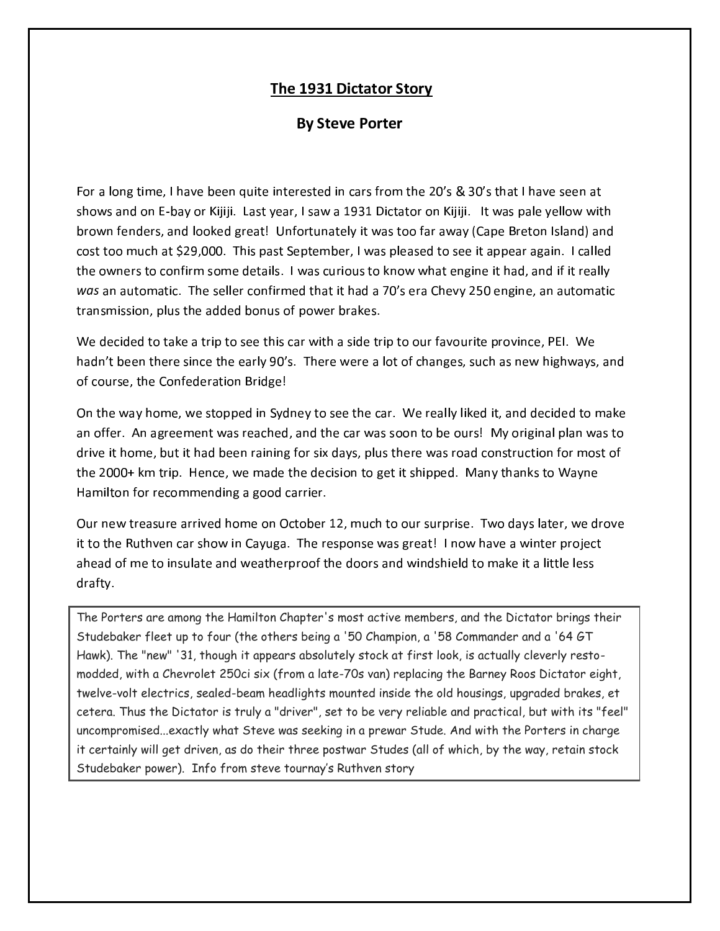## The 1931 Dictator Story

## **By Steve Porter**

For a long time, I have been quite interested in cars from the 20's & 30's that I have seen at shows and on E-bay or Kijiji. Last year, I saw a 1931 Dictator on Kijiji. It was pale yellow with brown fenders, and looked great! Unfortunately it was too far away (Cape Breton Island) and cost too much at \$29,000. This past September, I was pleased to see it appear again. I called the owners to confirm some details. I was curious to know what engine it had, and if it really was an automatic. The seller confirmed that it had a 70's era Chevy 250 engine, an automatic transmission, plus the added bonus of power brakes.

We decided to take a trip to see this car with a side trip to our favourite province, PEI. We hadn't been there since the early 90's. There were a lot of changes, such as new highways, and of course, the Confederation Bridge!

On the way home, we stopped in Sydney to see the car. We really liked it, and decided to make an offer. An agreement was reached, and the car was soon to be ours! My original plan was to drive it home, but it had been raining for six days, plus there was road construction for most of the 2000+ km trip. Hence, we made the decision to get it shipped. Many thanks to Wayne Hamilton for recommending a good carrier.

Our new treasure arrived home on October 12, much to our surprise. Two days later, we drove it to the Ruthven car show in Cayuga. The response was great! I now have a winter project ahead of me to insulate and weatherproof the doors and windshield to make it a little less drafty.

The Porters are among the Hamilton Chapter's most active members, and the Dictator brings their Studebaker fleet up to four (the others being a '50 Champion, a '58 Commander and a '64 GT Hawk). The "new" '31, though it appears absolutely stock at first look, is actually cleverly restomodded, with a Chevrolet 250ci six (from a late-70s van) replacing the Barney Roos Dictator eight, twelve-volt electrics, sealed-beam headlights mounted inside the old housings, upgraded brakes, et cetera. Thus the Dictator is truly a "driver", set to be very reliable and practical, but with its "feel" uncompromised...exactly what Steve was seeking in a prewar Stude. And with the Porters in charge it certainly will get driven, as do their three postwar Studes (all of which, by the way, retain stock Studebaker power). Info from steve tournay's Ruthven story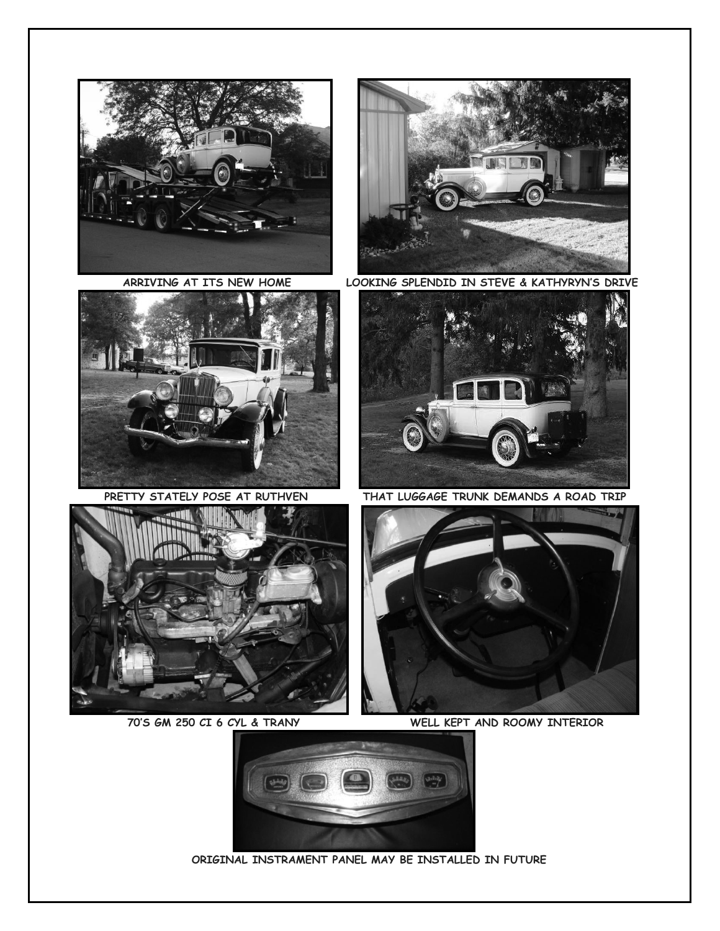







 **ARRIVING AT ITS NEW HOME LOOKING SPLENDID IN STEVE & KATHYRYN'S DRIVE**



PRETTY STATELY POSE AT RUTHVEN THAT LUGGAGE TRUNK DEMANDS A ROAD TRIP



 **70'S GM 250 CI 6 CYL & TRANY WELL KEPT AND ROOMY INTERIOR** 



 **ORIGINAL INSTRAMENT PANEL MAY BE INSTALLED IN FUTURE**